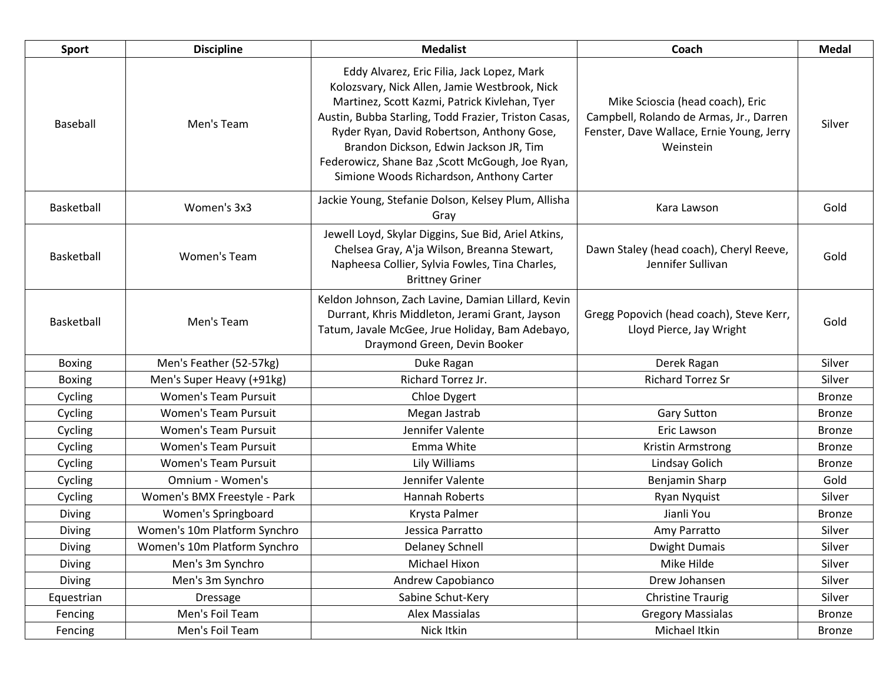| <b>Sport</b>  | <b>Discipline</b>            | <b>Medalist</b>                                                                                                                                                                                                                                                                                                                                                                              | Coach                                                                                                                                 | <b>Medal</b>  |
|---------------|------------------------------|----------------------------------------------------------------------------------------------------------------------------------------------------------------------------------------------------------------------------------------------------------------------------------------------------------------------------------------------------------------------------------------------|---------------------------------------------------------------------------------------------------------------------------------------|---------------|
| Baseball      | Men's Team                   | Eddy Alvarez, Eric Filia, Jack Lopez, Mark<br>Kolozsvary, Nick Allen, Jamie Westbrook, Nick<br>Martinez, Scott Kazmi, Patrick Kivlehan, Tyer<br>Austin, Bubba Starling, Todd Frazier, Triston Casas,<br>Ryder Ryan, David Robertson, Anthony Gose,<br>Brandon Dickson, Edwin Jackson JR, Tim<br>Federowicz, Shane Baz , Scott McGough, Joe Ryan,<br>Simione Woods Richardson, Anthony Carter | Mike Scioscia (head coach), Eric<br>Campbell, Rolando de Armas, Jr., Darren<br>Fenster, Dave Wallace, Ernie Young, Jerry<br>Weinstein | Silver        |
| Basketball    | Women's 3x3                  | Jackie Young, Stefanie Dolson, Kelsey Plum, Allisha<br>Gray                                                                                                                                                                                                                                                                                                                                  | Kara Lawson                                                                                                                           | Gold          |
| Basketball    | <b>Women's Team</b>          | Jewell Loyd, Skylar Diggins, Sue Bid, Ariel Atkins,<br>Chelsea Gray, A'ja Wilson, Breanna Stewart,<br>Napheesa Collier, Sylvia Fowles, Tina Charles,<br><b>Brittney Griner</b>                                                                                                                                                                                                               | Dawn Staley (head coach), Cheryl Reeve,<br>Jennifer Sullivan                                                                          | Gold          |
| Basketball    | Men's Team                   | Keldon Johnson, Zach Lavine, Damian Lillard, Kevin<br>Durrant, Khris Middleton, Jerami Grant, Jayson<br>Tatum, Javale McGee, Jrue Holiday, Bam Adebayo,<br>Draymond Green, Devin Booker                                                                                                                                                                                                      | Gregg Popovich (head coach), Steve Kerr,<br>Lloyd Pierce, Jay Wright                                                                  | Gold          |
| <b>Boxing</b> | Men's Feather (52-57kg)      | Duke Ragan                                                                                                                                                                                                                                                                                                                                                                                   | Derek Ragan                                                                                                                           | Silver        |
| <b>Boxing</b> | Men's Super Heavy (+91kg)    | Richard Torrez Jr.                                                                                                                                                                                                                                                                                                                                                                           | <b>Richard Torrez Sr</b>                                                                                                              | Silver        |
| Cycling       | <b>Women's Team Pursuit</b>  | Chloe Dygert                                                                                                                                                                                                                                                                                                                                                                                 |                                                                                                                                       | <b>Bronze</b> |
| Cycling       | <b>Women's Team Pursuit</b>  | Megan Jastrab                                                                                                                                                                                                                                                                                                                                                                                | <b>Gary Sutton</b>                                                                                                                    | <b>Bronze</b> |
| Cycling       | <b>Women's Team Pursuit</b>  | Jennifer Valente                                                                                                                                                                                                                                                                                                                                                                             | Eric Lawson                                                                                                                           | <b>Bronze</b> |
| Cycling       | <b>Women's Team Pursuit</b>  | Emma White                                                                                                                                                                                                                                                                                                                                                                                   | Kristin Armstrong                                                                                                                     | <b>Bronze</b> |
| Cycling       | <b>Women's Team Pursuit</b>  | Lily Williams                                                                                                                                                                                                                                                                                                                                                                                | Lindsay Golich                                                                                                                        | <b>Bronze</b> |
| Cycling       | Omnium - Women's             | Jennifer Valente                                                                                                                                                                                                                                                                                                                                                                             | Benjamin Sharp                                                                                                                        | Gold          |
| Cycling       | Women's BMX Freestyle - Park | <b>Hannah Roberts</b>                                                                                                                                                                                                                                                                                                                                                                        | <b>Ryan Nyquist</b>                                                                                                                   | Silver        |
| Diving        | Women's Springboard          | Krysta Palmer                                                                                                                                                                                                                                                                                                                                                                                | Jianli You                                                                                                                            | <b>Bronze</b> |
| <b>Diving</b> | Women's 10m Platform Synchro | Jessica Parratto                                                                                                                                                                                                                                                                                                                                                                             | Amy Parratto                                                                                                                          | Silver        |
| <b>Diving</b> | Women's 10m Platform Synchro | Delaney Schnell                                                                                                                                                                                                                                                                                                                                                                              | <b>Dwight Dumais</b>                                                                                                                  | Silver        |
| <b>Diving</b> | Men's 3m Synchro             | Michael Hixon                                                                                                                                                                                                                                                                                                                                                                                | Mike Hilde                                                                                                                            | Silver        |
| Diving        | Men's 3m Synchro             | Andrew Capobianco                                                                                                                                                                                                                                                                                                                                                                            | Drew Johansen                                                                                                                         | Silver        |
| Equestrian    | Dressage                     | Sabine Schut-Kery                                                                                                                                                                                                                                                                                                                                                                            | <b>Christine Traurig</b>                                                                                                              | Silver        |
| Fencing       | Men's Foil Team              | Alex Massialas                                                                                                                                                                                                                                                                                                                                                                               | <b>Gregory Massialas</b>                                                                                                              | <b>Bronze</b> |
| Fencing       | Men's Foil Team              | Nick Itkin                                                                                                                                                                                                                                                                                                                                                                                   | Michael Itkin                                                                                                                         | <b>Bronze</b> |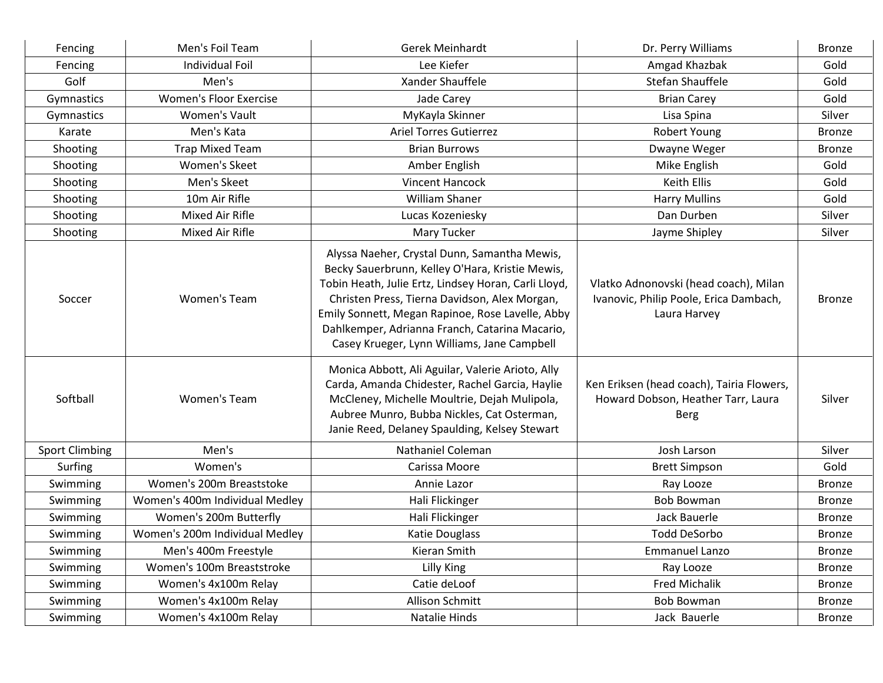| Fencing               | Men's Foil Team                | Gerek Meinhardt                                                                                                                                                                                                                                                                                                                                               | Dr. Perry Williams                                                                              | <b>Bronze</b> |
|-----------------------|--------------------------------|---------------------------------------------------------------------------------------------------------------------------------------------------------------------------------------------------------------------------------------------------------------------------------------------------------------------------------------------------------------|-------------------------------------------------------------------------------------------------|---------------|
| Fencing               | <b>Individual Foil</b>         | Lee Kiefer                                                                                                                                                                                                                                                                                                                                                    | Amgad Khazbak                                                                                   | Gold          |
| Golf                  | Men's                          | Xander Shauffele                                                                                                                                                                                                                                                                                                                                              | Stefan Shauffele                                                                                | Gold          |
| Gymnastics            | <b>Women's Floor Exercise</b>  | Jade Carey                                                                                                                                                                                                                                                                                                                                                    | <b>Brian Carey</b>                                                                              | Gold          |
| Gymnastics            | Women's Vault                  | MyKayla Skinner                                                                                                                                                                                                                                                                                                                                               | Lisa Spina                                                                                      | Silver        |
| Karate                | Men's Kata                     | <b>Ariel Torres Gutierrez</b>                                                                                                                                                                                                                                                                                                                                 | Robert Young                                                                                    | <b>Bronze</b> |
| Shooting              | <b>Trap Mixed Team</b>         | <b>Brian Burrows</b>                                                                                                                                                                                                                                                                                                                                          | Dwayne Weger                                                                                    | <b>Bronze</b> |
| Shooting              | <b>Women's Skeet</b>           | Amber English                                                                                                                                                                                                                                                                                                                                                 | Mike English                                                                                    | Gold          |
| Shooting              | Men's Skeet                    | <b>Vincent Hancock</b>                                                                                                                                                                                                                                                                                                                                        | Keith Ellis                                                                                     | Gold          |
| Shooting              | 10m Air Rifle                  | <b>William Shaner</b>                                                                                                                                                                                                                                                                                                                                         | <b>Harry Mullins</b>                                                                            | Gold          |
| Shooting              | Mixed Air Rifle                | Lucas Kozeniesky                                                                                                                                                                                                                                                                                                                                              | Dan Durben                                                                                      | Silver        |
| Shooting              | Mixed Air Rifle                | Mary Tucker                                                                                                                                                                                                                                                                                                                                                   | Jayme Shipley                                                                                   | Silver        |
| Soccer                | Women's Team                   | Alyssa Naeher, Crystal Dunn, Samantha Mewis,<br>Becky Sauerbrunn, Kelley O'Hara, Kristie Mewis,<br>Tobin Heath, Julie Ertz, Lindsey Horan, Carli Lloyd,<br>Christen Press, Tierna Davidson, Alex Morgan,<br>Emily Sonnett, Megan Rapinoe, Rose Lavelle, Abby<br>Dahlkemper, Adrianna Franch, Catarina Macario,<br>Casey Krueger, Lynn Williams, Jane Campbell | Vlatko Adnonovski (head coach), Milan<br>Ivanovic, Philip Poole, Erica Dambach,<br>Laura Harvey | <b>Bronze</b> |
| Softball              | Women's Team                   | Monica Abbott, Ali Aguilar, Valerie Arioto, Ally<br>Carda, Amanda Chidester, Rachel Garcia, Haylie<br>McCleney, Michelle Moultrie, Dejah Mulipola,<br>Aubree Munro, Bubba Nickles, Cat Osterman,<br>Janie Reed, Delaney Spaulding, Kelsey Stewart                                                                                                             | Ken Eriksen (head coach), Tairia Flowers,<br>Howard Dobson, Heather Tarr, Laura<br><b>Berg</b>  | Silver        |
| <b>Sport Climbing</b> | Men's                          | Nathaniel Coleman                                                                                                                                                                                                                                                                                                                                             | Josh Larson                                                                                     | Silver        |
| Surfing               | Women's                        | Carissa Moore                                                                                                                                                                                                                                                                                                                                                 | <b>Brett Simpson</b>                                                                            | Gold          |
| Swimming              | Women's 200m Breaststoke       | Annie Lazor                                                                                                                                                                                                                                                                                                                                                   | Ray Looze                                                                                       | <b>Bronze</b> |
| Swimming              | Women's 400m Individual Medley | Hali Flickinger                                                                                                                                                                                                                                                                                                                                               | <b>Bob Bowman</b>                                                                               | <b>Bronze</b> |
| Swimming              | Women's 200m Butterfly         | Hali Flickinger                                                                                                                                                                                                                                                                                                                                               | Jack Bauerle                                                                                    | <b>Bronze</b> |
| Swimming              | Women's 200m Individual Medley | Katie Douglass                                                                                                                                                                                                                                                                                                                                                | <b>Todd DeSorbo</b>                                                                             | <b>Bronze</b> |
| Swimming              | Men's 400m Freestyle           | Kieran Smith                                                                                                                                                                                                                                                                                                                                                  | <b>Emmanuel Lanzo</b>                                                                           | <b>Bronze</b> |
| Swimming              | Women's 100m Breaststroke      | Lilly King                                                                                                                                                                                                                                                                                                                                                    | Ray Looze                                                                                       | <b>Bronze</b> |
| Swimming              | Women's 4x100m Relay           | Catie deLoof                                                                                                                                                                                                                                                                                                                                                  | <b>Fred Michalik</b>                                                                            | <b>Bronze</b> |
| Swimming              | Women's 4x100m Relay           | Allison Schmitt                                                                                                                                                                                                                                                                                                                                               | <b>Bob Bowman</b>                                                                               | <b>Bronze</b> |
| Swimming              | Women's 4x100m Relay           | Natalie Hinds                                                                                                                                                                                                                                                                                                                                                 | Jack Bauerle                                                                                    | <b>Bronze</b> |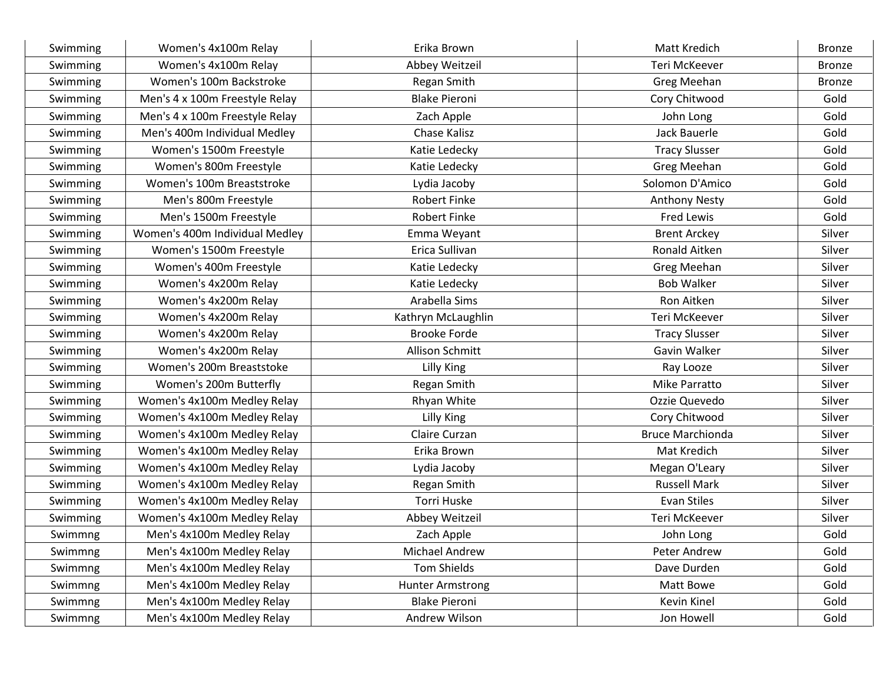| Swimming | Women's 4x100m Relay           | Erika Brown             | Matt Kredich            | <b>Bronze</b> |
|----------|--------------------------------|-------------------------|-------------------------|---------------|
| Swimming | Women's 4x100m Relay           | Abbey Weitzeil          | Teri McKeever           | <b>Bronze</b> |
| Swimming | Women's 100m Backstroke        | Regan Smith             | Greg Meehan             | <b>Bronze</b> |
| Swimming | Men's 4 x 100m Freestyle Relay | <b>Blake Pieroni</b>    | Cory Chitwood           | Gold          |
| Swimming | Men's 4 x 100m Freestyle Relay | Zach Apple              | John Long               | Gold          |
| Swimming | Men's 400m Individual Medley   | Chase Kalisz            | Jack Bauerle            | Gold          |
| Swimming | Women's 1500m Freestyle        | Katie Ledecky           | <b>Tracy Slusser</b>    | Gold          |
| Swimming | Women's 800m Freestyle         | Katie Ledecky           | Greg Meehan             | Gold          |
| Swimming | Women's 100m Breaststroke      | Lydia Jacoby            | Solomon D'Amico         | Gold          |
| Swimming | Men's 800m Freestyle           | <b>Robert Finke</b>     | <b>Anthony Nesty</b>    | Gold          |
| Swimming | Men's 1500m Freestyle          | <b>Robert Finke</b>     | Fred Lewis              | Gold          |
| Swimming | Women's 400m Individual Medley | Emma Weyant             | <b>Brent Arckey</b>     | Silver        |
| Swimming | Women's 1500m Freestyle        | Erica Sullivan          | Ronald Aitken           | Silver        |
| Swimming | Women's 400m Freestyle         | Katie Ledecky           | <b>Greg Meehan</b>      | Silver        |
| Swimming | Women's 4x200m Relay           | Katie Ledecky           | <b>Bob Walker</b>       | Silver        |
| Swimming | Women's 4x200m Relay           | Arabella Sims           | Ron Aitken              | Silver        |
| Swimming | Women's 4x200m Relay           | Kathryn McLaughlin      | Teri McKeever           | Silver        |
| Swimming | Women's 4x200m Relay           | <b>Brooke Forde</b>     | <b>Tracy Slusser</b>    | Silver        |
| Swimming | Women's 4x200m Relay           | Allison Schmitt         | Gavin Walker            | Silver        |
| Swimming | Women's 200m Breaststoke       | Lilly King              | Ray Looze               | Silver        |
| Swimming | Women's 200m Butterfly         | Regan Smith             | Mike Parratto           | Silver        |
| Swimming | Women's 4x100m Medley Relay    | Rhyan White             | Ozzie Quevedo           | Silver        |
| Swimming | Women's 4x100m Medley Relay    | Lilly King              | Cory Chitwood           | Silver        |
| Swimming | Women's 4x100m Medley Relay    | Claire Curzan           | <b>Bruce Marchionda</b> | Silver        |
| Swimming | Women's 4x100m Medley Relay    | Erika Brown             | Mat Kredich             | Silver        |
| Swimming | Women's 4x100m Medley Relay    | Lydia Jacoby            | Megan O'Leary           | Silver        |
| Swimming | Women's 4x100m Medley Relay    | Regan Smith             | <b>Russell Mark</b>     | Silver        |
| Swimming | Women's 4x100m Medley Relay    | Torri Huske             | Evan Stiles             | Silver        |
| Swimming | Women's 4x100m Medley Relay    | Abbey Weitzeil          | Teri McKeever           | Silver        |
| Swimmng  | Men's 4x100m Medley Relay      | Zach Apple              | John Long               | Gold          |
| Swimmng  | Men's 4x100m Medley Relay      | Michael Andrew          | Peter Andrew            | Gold          |
| Swimmng  | Men's 4x100m Medley Relay      | Tom Shields             | Dave Durden             | Gold          |
| Swimmng  | Men's 4x100m Medley Relay      | <b>Hunter Armstrong</b> | Matt Bowe               | Gold          |
| Swimmng  | Men's 4x100m Medley Relay      | <b>Blake Pieroni</b>    | Kevin Kinel             | Gold          |
| Swimmng  | Men's 4x100m Medley Relay      | Andrew Wilson           | Jon Howell              | Gold          |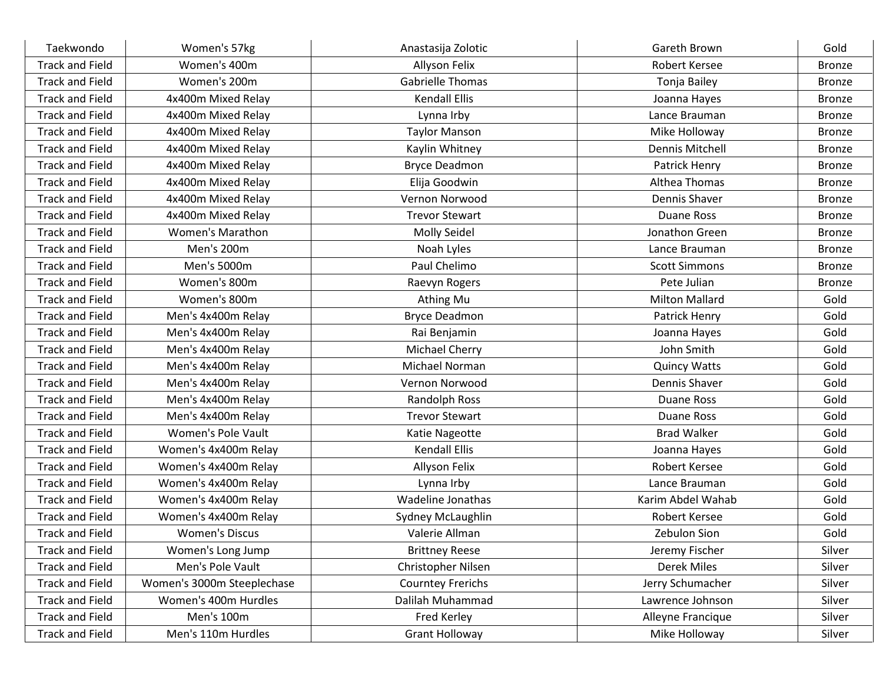| Taekwondo              | Women's 57kg               | Anastasija Zolotic       | Gareth Brown           | Gold          |
|------------------------|----------------------------|--------------------------|------------------------|---------------|
| <b>Track and Field</b> | Women's 400m               | Allyson Felix            | Robert Kersee          | <b>Bronze</b> |
| <b>Track and Field</b> | Women's 200m               | <b>Gabrielle Thomas</b>  | Tonja Bailey           | <b>Bronze</b> |
| <b>Track and Field</b> | 4x400m Mixed Relay         | <b>Kendall Ellis</b>     | Joanna Hayes           | <b>Bronze</b> |
| <b>Track and Field</b> | 4x400m Mixed Relay         | Lynna Irby               | Lance Brauman          | <b>Bronze</b> |
| <b>Track and Field</b> | 4x400m Mixed Relay         | <b>Taylor Manson</b>     | Mike Holloway          | <b>Bronze</b> |
| <b>Track and Field</b> | 4x400m Mixed Relay         | Kaylin Whitney           | <b>Dennis Mitchell</b> | <b>Bronze</b> |
| <b>Track and Field</b> | 4x400m Mixed Relay         | <b>Bryce Deadmon</b>     | Patrick Henry          | <b>Bronze</b> |
| <b>Track and Field</b> | 4x400m Mixed Relay         | Elija Goodwin            | Althea Thomas          | <b>Bronze</b> |
| <b>Track and Field</b> | 4x400m Mixed Relay         | Vernon Norwood           | Dennis Shaver          | <b>Bronze</b> |
| <b>Track and Field</b> | 4x400m Mixed Relay         | <b>Trevor Stewart</b>    | Duane Ross             | <b>Bronze</b> |
| <b>Track and Field</b> | <b>Women's Marathon</b>    | Molly Seidel             | Jonathon Green         | <b>Bronze</b> |
| <b>Track and Field</b> | Men's 200m                 | Noah Lyles               | Lance Brauman          | <b>Bronze</b> |
| <b>Track and Field</b> | Men's 5000m                | Paul Chelimo             | <b>Scott Simmons</b>   | <b>Bronze</b> |
| <b>Track and Field</b> | Women's 800m               | Raevyn Rogers            | Pete Julian            | <b>Bronze</b> |
| <b>Track and Field</b> | Women's 800m               | Athing Mu                | <b>Milton Mallard</b>  | Gold          |
| <b>Track and Field</b> | Men's 4x400m Relay         | <b>Bryce Deadmon</b>     | Patrick Henry          | Gold          |
| <b>Track and Field</b> | Men's 4x400m Relay         | Rai Benjamin             | Joanna Hayes           | Gold          |
| <b>Track and Field</b> | Men's 4x400m Relay         | Michael Cherry           | John Smith             | Gold          |
| <b>Track and Field</b> | Men's 4x400m Relay         | Michael Norman           | <b>Quincy Watts</b>    | Gold          |
| <b>Track and Field</b> | Men's 4x400m Relay         | Vernon Norwood           | Dennis Shaver          | Gold          |
| <b>Track and Field</b> | Men's 4x400m Relay         | Randolph Ross            | Duane Ross             | Gold          |
| <b>Track and Field</b> | Men's 4x400m Relay         | <b>Trevor Stewart</b>    | Duane Ross             | Gold          |
| <b>Track and Field</b> | Women's Pole Vault         | Katie Nageotte           | <b>Brad Walker</b>     | Gold          |
| <b>Track and Field</b> | Women's 4x400m Relay       | <b>Kendall Ellis</b>     | Joanna Hayes           | Gold          |
| <b>Track and Field</b> | Women's 4x400m Relay       | Allyson Felix            | Robert Kersee          | Gold          |
| <b>Track and Field</b> | Women's 4x400m Relay       | Lynna Irby               | Lance Brauman          | Gold          |
| <b>Track and Field</b> | Women's 4x400m Relay       | Wadeline Jonathas        | Karim Abdel Wahab      | Gold          |
| <b>Track and Field</b> | Women's 4x400m Relay       | Sydney McLaughlin        | Robert Kersee          | Gold          |
| <b>Track and Field</b> | <b>Women's Discus</b>      | Valerie Allman           | Zebulon Sion           | Gold          |
| <b>Track and Field</b> | Women's Long Jump          | <b>Brittney Reese</b>    | Jeremy Fischer         | Silver        |
| <b>Track and Field</b> | Men's Pole Vault           | Christopher Nilsen       | Derek Miles            | Silver        |
| <b>Track and Field</b> | Women's 3000m Steeplechase | <b>Courntey Frerichs</b> | Jerry Schumacher       | Silver        |
| <b>Track and Field</b> | Women's 400m Hurdles       | Dalilah Muhammad         | Lawrence Johnson       | Silver        |
| <b>Track and Field</b> | Men's 100m                 | Fred Kerley              | Alleyne Francique      | Silver        |
| <b>Track and Field</b> | Men's 110m Hurdles         | <b>Grant Holloway</b>    | Mike Holloway          | Silver        |